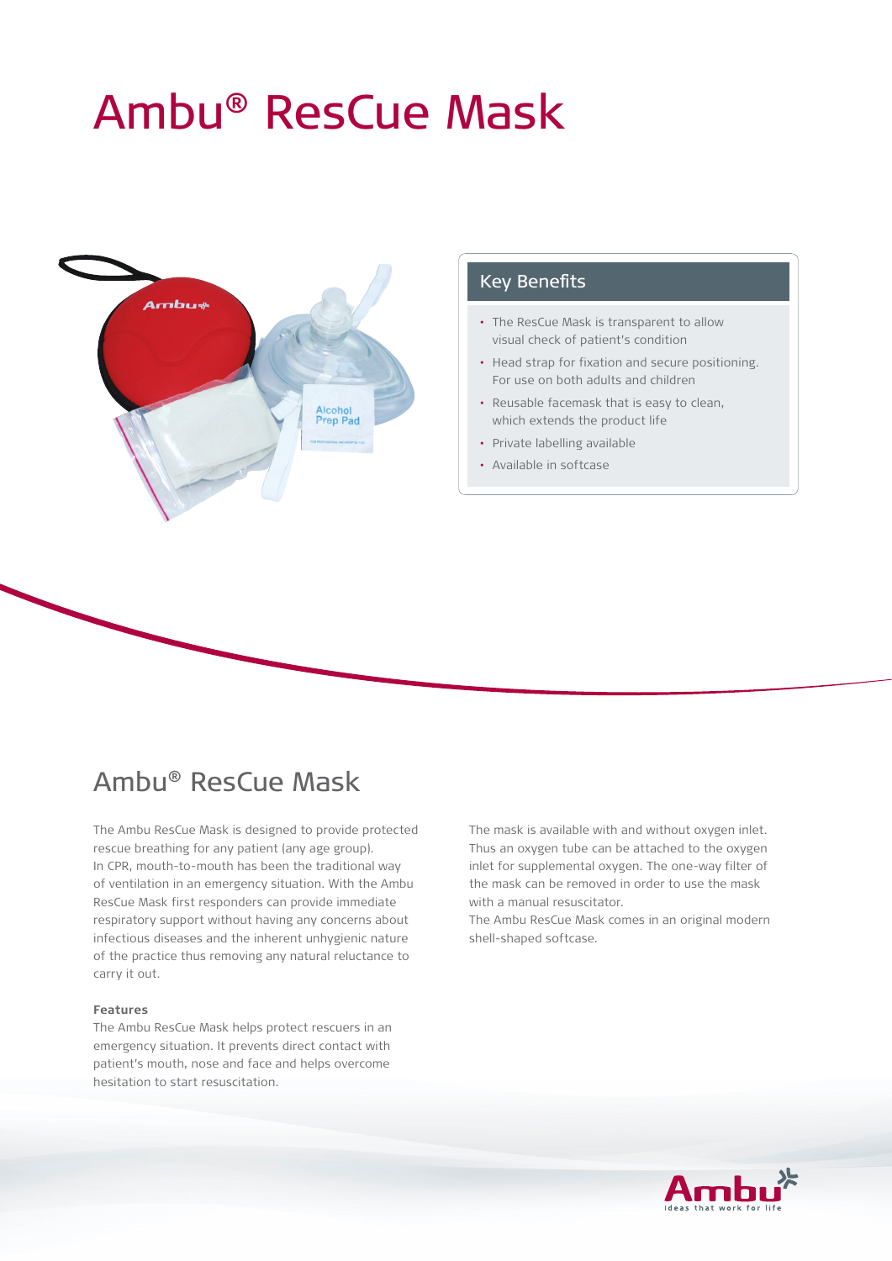# Ambu® ResCue Mask



### Key Benefits

- The ResCue Mask is transparent to allow visual check of patient's condition
- Head strap for fixation and secure positioning. For use on both adults and children
- Reusable facemask that is easy to clean, which extends the product life
- Private labelling available
- Available in softcase

# Ambu® ResCue Mask

The Ambu ResCue Mask is designed to provide protected rescue breathing for any patient (any age group). In CPR, mouth-to-mouth has been the traditional way of ventilation in an emergency situation. With the Ambu ResCue Mask first responders can provide immediate respiratory support without having any concerns about infectious diseases and the inherent unhygienic nature of the practice thus removing any natural reluctance to carry it out.

#### **Features**

The Ambu ResCue Mask helps protect rescuers in an emergency situation. It prevents direct contact with patient's mouth, nose and face and helps overcome hesitation to start resuscitation.

The mask is available with and without oxygen inlet. Thus an oxygen tube can be attached to the oxygen inlet for supplemental oxygen. The one-way filter of the mask can be removed in order to use the mask with a manual resuscitator.

The Ambu ResCue Mask comes in an original modern shell-shaped softcase.